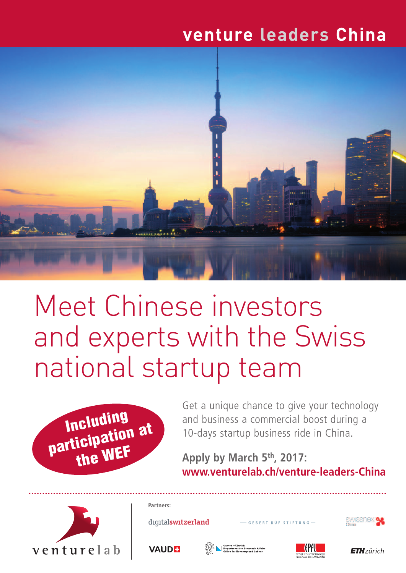# **venture leaders China**



# Meet Chinese investors and experts with the Swiss national startup team



Get a unique chance to give your technology and business a commercial boost during a 10-days startup business ride in China.

# **Apply by March 5th, 2017: www.venturelab.ch/venture-leaders-China**



**Partners:** SWISSNOX **SK** diqitalswitzerland - GEBERT RÜF STIFTUNG -**VAUDE ETH**zürich